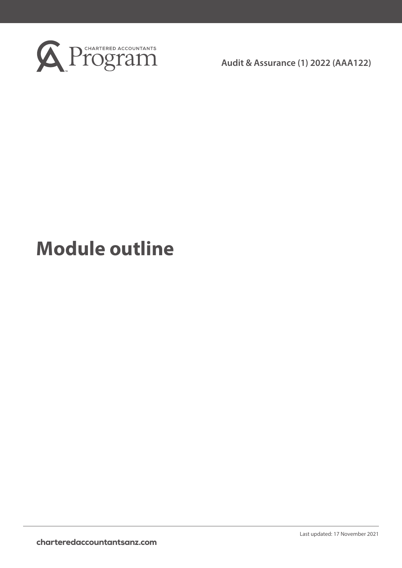

**Audit & Assurance (1) 2022 (AAA122)**

# **Module outline**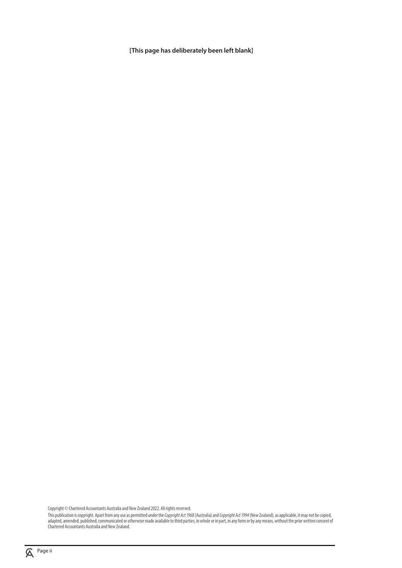**[This page has deliberately been left blank]**

Copyright © Chartered Accountants Australia and New Zealand 2022. All rights reserved.

This publication is copyright. Apart from any use as permitted under the *Copyright Act 1968* (Australia) and *Copyright Act 1994* (New Zealand), as applicable, it may not be copied, adapted, amended, published, communicated or otherwise made available to third parties, in whole or in part, in any form or by any means, without the prior written consent of Chartered Accountants Australia and New Zealand.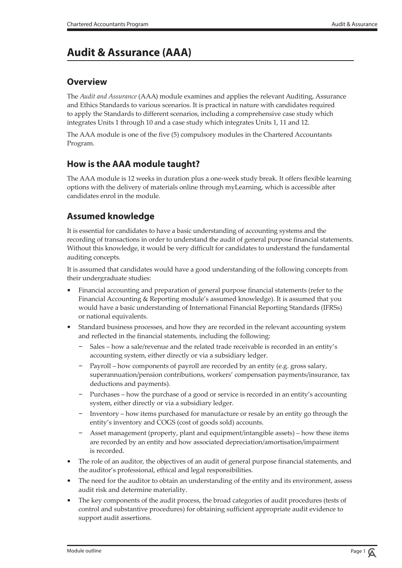# **Audit & Assurance (AAA)**

## **Overview**

The *Audit and Assurance* (AAA) module examines and applies the relevant Auditing, Assurance and Ethics Standards to various scenarios. It is practical in nature with candidates required to apply the Standards to different scenarios, including a comprehensive case study which integrates Units 1 through 10 and a case study which integrates Units 1, 11 and 12.

The AAA module is one of the five (5) compulsory modules in the Chartered Accountants Program.

## **How is the AAA module taught?**

The AAA module is 12 weeks in duration plus a one-week study break. It offers flexible learning options with the delivery of materials online through myLearning, which is accessible after candidates enrol in the module.

## **Assumed knowledge**

It is essential for candidates to have a basic understanding of accounting systems and the recording of transactions in order to understand the audit of general purpose financial statements. Without this knowledge, it would be very difficult for candidates to understand the fundamental auditing concepts.

It is assumed that candidates would have a good understanding of the following concepts from their undergraduate studies:

- Financial accounting and preparation of general purpose financial statements (refer to the Financial Accounting & Reporting module's assumed knowledge). It is assumed that you would have a basic understanding of International Financial Reporting Standards (IFRSs) or national equivalents.
- Standard business processes, and how they are recorded in the relevant accounting system and reflected in the financial statements, including the following:
	- Sales how a sale/revenue and the related trade receivable is recorded in an entity's accounting system, either directly or via a subsidiary ledger.
	- Payroll how components of payroll are recorded by an entity (e.g. gross salary, superannuation/pension contributions, workers' compensation payments/insurance, tax deductions and payments).
	- Purchases how the purchase of a good or service is recorded in an entity's accounting system, either directly or via a subsidiary ledger.
	- Inventory how items purchased for manufacture or resale by an entity go through the entity's inventory and COGS (cost of goods sold) accounts.
	- Asset management (property, plant and equipment/intangible assets) how these items are recorded by an entity and how associated depreciation/amortisation/impairment is recorded.
- The role of an auditor, the objectives of an audit of general purpose financial statements, and the auditor's professional, ethical and legal responsibilities.
- The need for the auditor to obtain an understanding of the entity and its environment, assess audit risk and determine materiality.
- The key components of the audit process, the broad categories of audit procedures (tests of control and substantive procedures) for obtaining sufficient appropriate audit evidence to support audit assertions.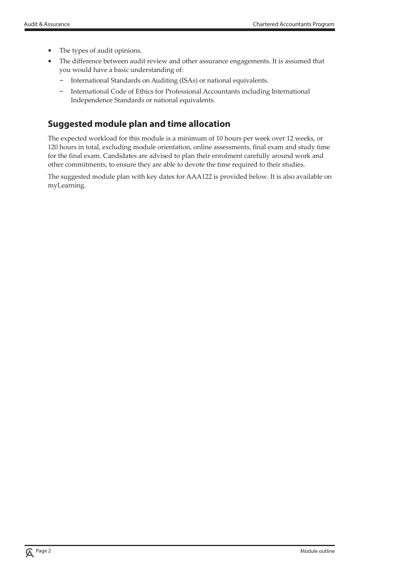- The types of audit opinions.
- The difference between audit review and other assurance engagements. It is assumed that you would have a basic understanding of:
	- International Standards on Auditing (ISAs) or national equivalents.
	- International Code of Ethics for Professional Accountants including International Independence Standards or national equivalents.

## **Suggested module plan and time allocation**

The expected workload for this module is a minimum of 10 hours per week over 12 weeks, or 120 hours in total, excluding module orientation, online assessments, final exam and study time for the final exam. Candidates are advised to plan their enrolment carefully around work and other commitments, to ensure they are able to devote the time required to their studies.

The suggested module plan with key dates for AAA122 is provided below. It is also available on myLearning.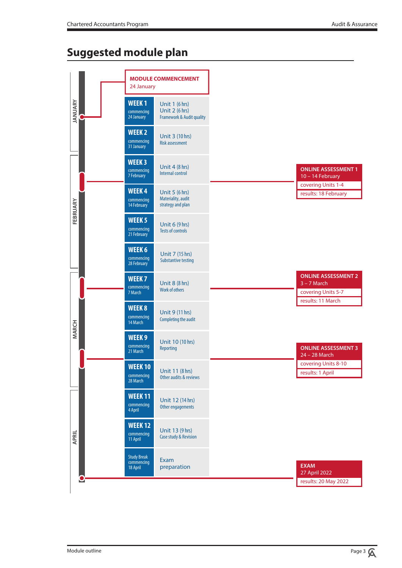## **Suggested module plan**

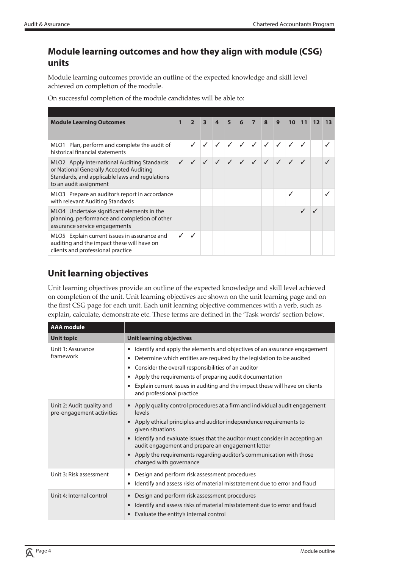## **Module learning outcomes and how they align with module (CSG) units**

Module learning outcomes provide an outline of the expected knowledge and skill level achieved on completion of the module.

On successful completion of the module candidates will be able to:

| <b>Module Learning Outcomes</b>                                                                                                                                    | $\overline{2}$ |  |            |              |              | 4 5 6 7 8 9 | $10-1$              |  |  |
|--------------------------------------------------------------------------------------------------------------------------------------------------------------------|----------------|--|------------|--------------|--------------|-------------|---------------------|--|--|
| MLO1 Plan, perform and complete the audit of<br>historical financial statements                                                                                    |                |  | $\sqrt{2}$ | $\checkmark$ | $\checkmark$ | $\sqrt{ }$  |                     |  |  |
| MLO2 Apply International Auditing Standards<br>or National Generally Accepted Auditing<br>Standards, and applicable laws and regulations<br>to an audit assignment |                |  |            |              |              |             | 1 1 1 1 1 1 1 1 1 1 |  |  |
| MLO3 Prepare an auditor's report in accordance<br>with relevant Auditing Standards                                                                                 |                |  |            |              |              |             |                     |  |  |
| MLO4 Undertake significant elements in the<br>planning, performance and completion of other<br>assurance service engagements                                       |                |  |            |              |              |             |                     |  |  |
| MLO5 Explain current issues in assurance and<br>auditing and the impact these will have on<br>clients and professional practice                                    |                |  |            |              |              |             |                     |  |  |

## **Unit learning objectives**

Unit learning objectives provide an outline of the expected knowledge and skill level achieved on completion of the unit. Unit learning objectives are shown on the unit learning page and on the first CSG page for each unit. Each unit learning objective commences with a verb, such as explain, calculate, demonstrate etc. These terms are defined in the 'Task words' section below.

| <b>AAA</b> module                                      |                                                                                                                                                                                                                                                                                                                                                                                                                             |
|--------------------------------------------------------|-----------------------------------------------------------------------------------------------------------------------------------------------------------------------------------------------------------------------------------------------------------------------------------------------------------------------------------------------------------------------------------------------------------------------------|
| <b>Unit topic</b>                                      | <b>Unit learning objectives</b>                                                                                                                                                                                                                                                                                                                                                                                             |
| Unit 1: Assurance<br>framework                         | Identify and apply the elements and objectives of an assurance engagement<br>٠<br>Determine which entities are required by the legislation to be audited<br>٠<br>Consider the overall responsibilities of an auditor<br>٠<br>Apply the requirements of preparing audit documentation<br>٠<br>Explain current issues in auditing and the impact these will have on clients<br>٠<br>and professional practice                 |
| Unit 2: Audit quality and<br>pre-engagement activities | • Apply quality control procedures at a firm and individual audit engagement<br>levels<br>• Apply ethical principles and auditor independence requirements to<br>given situations<br>• Identify and evaluate issues that the auditor must consider in accepting an<br>audit engagement and prepare an engagement letter<br>• Apply the requirements regarding auditor's communication with those<br>charged with governance |
| Unit 3: Risk assessment                                | Design and perform risk assessment procedures<br>٠<br>Identify and assess risks of material misstatement due to error and fraud<br>٠                                                                                                                                                                                                                                                                                        |
| Unit 4: Internal control                               | Design and perform risk assessment procedures<br>$\bullet$<br>Identify and assess risks of material misstatement due to error and fraud<br>Evaluate the entity's internal control<br>$\bullet$                                                                                                                                                                                                                              |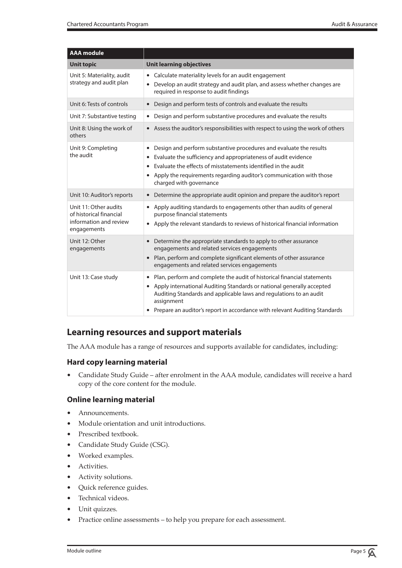| <b>AAA</b> module                                                                         |                                                                                                                                                                                                                                                                                                                          |
|-------------------------------------------------------------------------------------------|--------------------------------------------------------------------------------------------------------------------------------------------------------------------------------------------------------------------------------------------------------------------------------------------------------------------------|
| <b>Unit topic</b>                                                                         | <b>Unit learning objectives</b>                                                                                                                                                                                                                                                                                          |
| Unit 5: Materiality, audit<br>strategy and audit plan                                     | Calculate materiality levels for an audit engagement<br>$\bullet$<br>Develop an audit strategy and audit plan, and assess whether changes are<br>required in response to audit findings                                                                                                                                  |
| Unit 6: Tests of controls                                                                 | Design and perform tests of controls and evaluate the results<br>$\bullet$                                                                                                                                                                                                                                               |
| Unit 7: Substantive testing                                                               | Design and perform substantive procedures and evaluate the results<br>$\bullet$                                                                                                                                                                                                                                          |
| Unit 8: Using the work of<br>others                                                       | • Assess the auditor's responsibilities with respect to using the work of others                                                                                                                                                                                                                                         |
| Unit 9: Completing<br>the audit                                                           | Design and perform substantive procedures and evaluate the results<br>Evaluate the sufficiency and appropriateness of audit evidence<br>Evaluate the effects of misstatements identified in the audit<br>Apply the requirements regarding auditor's communication with those<br>$\bullet$<br>charged with governance     |
| Unit 10: Auditor's reports                                                                | Determine the appropriate audit opinion and prepare the auditor's report<br>$\bullet$                                                                                                                                                                                                                                    |
| Unit 11: Other audits<br>of historical financial<br>information and review<br>engagements | Apply auditing standards to engagements other than audits of general<br>purpose financial statements<br>• Apply the relevant standards to reviews of historical financial information                                                                                                                                    |
| Unit 12: Other<br>engagements                                                             | Determine the appropriate standards to apply to other assurance<br>$\bullet$<br>engagements and related services engagements<br>• Plan, perform and complete significant elements of other assurance<br>engagements and related services engagements                                                                     |
| Unit 13: Case study                                                                       | • Plan, perform and complete the audit of historical financial statements<br>• Apply international Auditing Standards or national generally accepted<br>Auditing Standards and applicable laws and regulations to an audit<br>assignment<br>• Prepare an auditor's report in accordance with relevant Auditing Standards |

## **Learning resources and support materials**

The AAA module has a range of resources and supports available for candidates, including:

#### **Hard copy learning material**

• Candidate Study Guide – after enrolment in the AAA module, candidates will receive a hard copy of the core content for the module.

#### **Online learning material**

- Announcements.
- Module orientation and unit introductions.
- Prescribed textbook.
- Candidate Study Guide (CSG).
- Worked examples.
- Activities.
- Activity solutions.
- Quick reference guides.
- Technical videos.
- Unit quizzes.
- Practice online assessments to help you prepare for each assessment.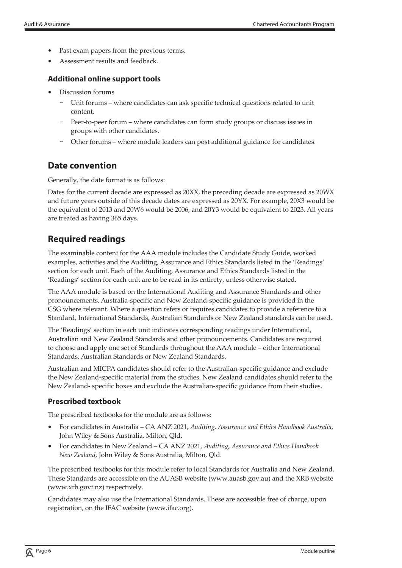- Past exam papers from the previous terms.
- Assessment results and feedback.

#### **Additional online support tools**

- Discussion forums
	- Unit forums where candidates can ask specific technical questions related to unit content.
	- Peer-to-peer forum where candidates can form study groups or discuss issues in groups with other candidates.
	- Other forums where module leaders can post additional guidance for candidates.

## **Date convention**

Generally, the date format is as follows:

Dates for the current decade are expressed as 20XX, the preceding decade are expressed as 20WX and future years outside of this decade dates are expressed as 20YX. For example, 20X3 would be the equivalent of 2013 and 20W6 would be 2006, and 20Y3 would be equivalent to 2023. All years are treated as having 365 days.

## **Required readings**

The examinable content for the AAA module includes the Candidate Study Guide, worked examples, activities and the Auditing, Assurance and Ethics Standards listed in the 'Readings' section for each unit. Each of the Auditing, Assurance and Ethics Standards listed in the 'Readings' section for each unit are to be read in its entirety, unless otherwise stated.

The AAA module is based on the International Auditing and Assurance Standards and other pronouncements. Australia-specific and New Zealand-specific guidance is provided in the CSG where relevant. Where a question refers or requires candidates to provide a reference to a Standard, International Standards, Australian Standards or New Zealand standards can be used.

The 'Readings' section in each unit indicates corresponding readings under International, Australian and New Zealand Standards and other pronouncements. Candidates are required to choose and apply one set of Standards throughout the AAA module – either International Standards, Australian Standards or New Zealand Standards.

Australian and MICPA candidates should refer to the Australian-specific guidance and exclude the New Zealand-specific material from the studies. New Zealand candidates should refer to the New Zealand- specific boxes and exclude the Australian-specific guidance from their studies.

#### **Prescribed textbook**

The prescribed textbooks for the module are as follows:

- For candidates in Australia CA ANZ 2021, *Auditing, Assurance and Ethics Handbook Australia*, John Wiley & Sons Australia, Milton, Qld.
- For candidates in New Zealand CA ANZ 2021, *Auditing, Assurance and Ethics Handbook New Zealand*, John Wiley & Sons Australia, Milton, Qld.

The prescribed textbooks for this module refer to local Standards for Australia and New Zealand. These Standards are accessible on the AUASB website (www.auasb.gov.au) and the XRB website (www.xrb.govt.nz) respectively.

Candidates may also use the International Standards. These are accessible free of charge, upon registration, on the IFAC website (www.ifac.org).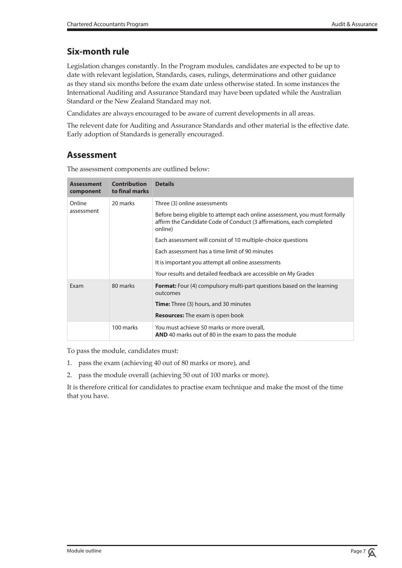## **Six-month rule**

Legislation changes constantly. In the Program modules, candidates are expected to be up to date with relevant legislation, Standards, cases, rulings, determinations and other guidance as they stand six months before the exam date unless otherwise stated. In some instances the International Auditing and Assurance Standard may have been updated while the Australian Standard or the New Zealand Standard may not.

Candidates are always encouraged to be aware of current developments in all areas.

The relevent date for Auditing and Assurance Standards and other material is the effective date. Early adoption of Standards is generally encouraged.

## **Assessment**

**Assessment component Contribution to final marks Details** Online assessment 20 marks Three (3) online assessments Before being eligible to attempt each online assessment, you must formally affirm the Candidate Code of Conduct (3 affirmations, each completed online) Each assessment will consist of 10 multiple-choice questions Each assessment has a time limit of 90 minutes It is important you attempt all online assessments Your results and detailed feedback are accessible on My Grades Exam 80 marks **Format:** Four (4) compulsory multi-part questions based on the learning outcomes **Time:** Three (3) hours, and 30 minutes **Resources:** The exam is open book 100 marks You must achieve 50 marks or more overall, **AND** 40 marks out of 80 in the exam to pass the module

The assessment components are outlined below:

To pass the module, candidates must:

- 1. pass the exam (achieving 40 out of 80 marks or more), and
- 2. pass the module overall (achieving 50 out of 100 marks or more).

It is therefore critical for candidates to practise exam technique and make the most of the time that you have.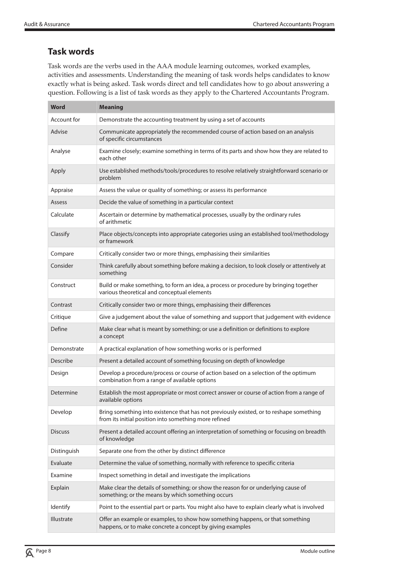## **Task words**

Task words are the verbs used in the AAA module learning outcomes, worked examples, activities and assessments. Understanding the meaning of task words helps candidates to know exactly what is being asked. Task words direct and tell candidates how to go about answering a question. Following is a list of task words as they apply to the Chartered Accountants Program.

| Word            | <b>Meaning</b>                                                                                                                                   |
|-----------------|--------------------------------------------------------------------------------------------------------------------------------------------------|
| Account for     | Demonstrate the accounting treatment by using a set of accounts                                                                                  |
| Advise          | Communicate appropriately the recommended course of action based on an analysis<br>of specific circumstances                                     |
| Analyse         | Examine closely; examine something in terms of its parts and show how they are related to<br>each other                                          |
| Apply           | Use established methods/tools/procedures to resolve relatively straightforward scenario or<br>problem                                            |
| Appraise        | Assess the value or quality of something; or assess its performance                                                                              |
| Assess          | Decide the value of something in a particular context                                                                                            |
| Calculate       | Ascertain or determine by mathematical processes, usually by the ordinary rules<br>of arithmetic                                                 |
| Classify        | Place objects/concepts into appropriate categories using an established tool/methodology<br>or framework                                         |
| Compare         | Critically consider two or more things, emphasising their similarities                                                                           |
| Consider        | Think carefully about something before making a decision, to look closely or attentively at<br>something                                         |
| Construct       | Build or make something, to form an idea, a process or procedure by bringing together<br>various theoretical and conceptual elements             |
| Contrast        | Critically consider two or more things, emphasising their differences                                                                            |
| Critique        | Give a judgement about the value of something and support that judgement with evidence                                                           |
| Define          | Make clear what is meant by something; or use a definition or definitions to explore<br>a concept                                                |
| Demonstrate     | A practical explanation of how something works or is performed                                                                                   |
| Describe        | Present a detailed account of something focusing on depth of knowledge                                                                           |
| Design          | Develop a procedure/process or course of action based on a selection of the optimum<br>combination from a range of available options             |
| Determine       | Establish the most appropriate or most correct answer or course of action from a range of<br>available options                                   |
| Develop         | Bring something into existence that has not previously existed, or to reshape something<br>from its initial position into something more refined |
| <b>Discuss</b>  | Present a detailed account offering an interpretation of something or focusing on breadth<br>of knowledge                                        |
| Distinguish     | Separate one from the other by distinct difference                                                                                               |
| Evaluate        | Determine the value of something, normally with reference to specific criteria                                                                   |
| Examine         | Inspect something in detail and investigate the implications                                                                                     |
| Explain         | Make clear the details of something; or show the reason for or underlying cause of<br>something; or the means by which something occurs          |
| <b>Identify</b> | Point to the essential part or parts. You might also have to explain clearly what is involved                                                    |
| Illustrate      | Offer an example or examples, to show how something happens, or that something<br>happens, or to make concrete a concept by giving examples      |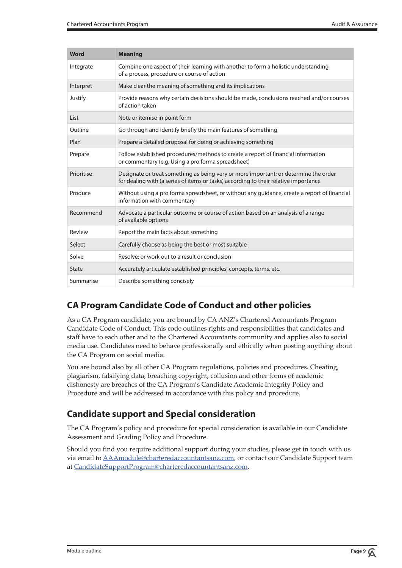| <b>Word</b>  | <b>Meaning</b>                                                                                                                                                               |
|--------------|------------------------------------------------------------------------------------------------------------------------------------------------------------------------------|
| Integrate    | Combine one aspect of their learning with another to form a holistic understanding<br>of a process, procedure or course of action                                            |
| Interpret    | Make clear the meaning of something and its implications                                                                                                                     |
| Justify      | Provide reasons why certain decisions should be made, conclusions reached and/or courses<br>of action taken                                                                  |
| List         | Note or itemise in point form                                                                                                                                                |
| Outline      | Go through and identify briefly the main features of something                                                                                                               |
| Plan         | Prepare a detailed proposal for doing or achieving something                                                                                                                 |
| Prepare      | Follow established procedures/methods to create a report of financial information<br>or commentary (e.g. Using a pro forma spreadsheet)                                      |
| Prioritise   | Designate or treat something as being very or more important; or determine the order<br>for dealing with (a series of items or tasks) according to their relative importance |
| Produce      | Without using a pro forma spreadsheet, or without any guidance, create a report of financial<br>information with commentary                                                  |
| Recommend    | Advocate a particular outcome or course of action based on an analysis of a range<br>of available options                                                                    |
| Review       | Report the main facts about something                                                                                                                                        |
| Select       | Carefully choose as being the best or most suitable                                                                                                                          |
| Solve        | Resolve; or work out to a result or conclusion                                                                                                                               |
| <b>State</b> | Accurately articulate established principles, concepts, terms, etc.                                                                                                          |
| Summarise    | Describe something concisely                                                                                                                                                 |

## **CA Program Candidate Code of Conduct and other policies**

As a CA Program candidate, you are bound by CA ANZ's Chartered Accountants Program Candidate Code of Conduct. This code outlines rights and responsibilities that candidates and staff have to each other and to the Chartered Accountants community and applies also to social media use. Candidates need to behave professionally and ethically when posting anything about the CA Program on social media.

You are bound also by all other CA Program regulations, policies and procedures. Cheating, plagiarism, falsifying data, breaching copyright, collusion and other forms of academic dishonesty are breaches of the CA Program's Candidate Academic Integrity Policy and Procedure and will be addressed in accordance with this policy and procedure.

## **Candidate support and Special consideration**

The CA Program's policy and procedure for special consideration is available in our Candidate Assessment and Grading Policy and Procedure.

Should you find you require additional support during your studies, please get in touch with us via email to AAAmodule@charteredaccountantsanz.com, or contact our Candidate Support team at CandidateSupportProgram@charteredaccountantsanz.com.